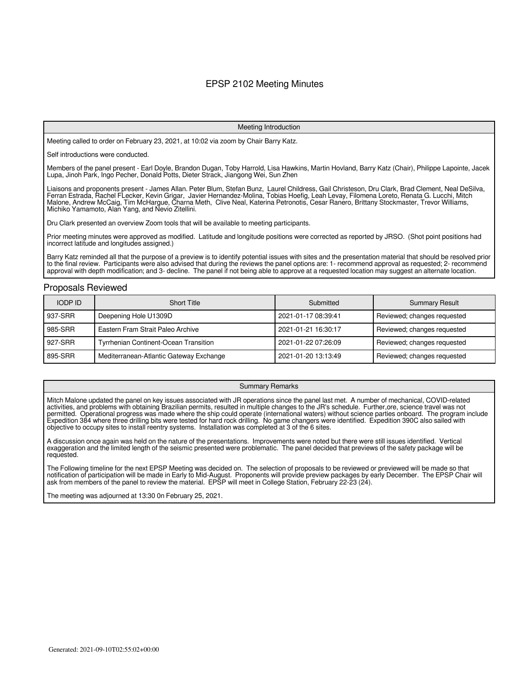#### EPSP 2102 Meeting Minutes

#### Meeting Introduction

Meeting called to order on February 23, 2021, at 10:02 via zoom by Chair Barry Katz.

Self introductions were conducted.

Members of the panel present - Earl Doyle, Brandon Dugan, Toby Harrold, Lisa Hawkins, Martin Hovland, Barry Katz (Chair), Philippe Lapointe, Jacek Lupa, Jinoh Park, Ingo Pecher, Donald Potts, Dieter Strack, Jiangong Wei, Sun Zhen

Liaisons and proponents present - James Allan. Peter Blum, Stefan Bunz, Laurel Childress, Gail Christeson, Dru Clark, Brad Clement, Neal DeSilva, Ferran Estrada, Rachel FLecker, Kevin Grigar, Javier Hernandez-Molina, Tobias Hoefig, Leah Levay, Filomena Loreto, Renata G. Lucchi, Mitch Malone, Andrew McCaig, Tim McHargue, Charna Meth, Clive Neal, Katerina Petronotis, Cesar Ranero, Brittany Stockmaster, Trevor Williams, Michiko Yamamoto, Alan Yang, and Nevio Zitellini.

Dru Clark presented an overview Zoom tools that will be available to meeting participants.

Prior meeting minutes were approved as modified. Latitude and longitude positions were corrected as reported by JRSO. (Shot point positions had incorrect latitude and longitudes assigned.)

Barry Katz reminded all that the purpose of a preview is to identify potential issues with sites and the presentation material that should be resolved prior to the final review. Participants were also advised that during the reviews the panel options are: 1- recommend approval as requested; 2- recommend approval with depth modification; and 3- decline. The panel if not being able to approve at a requested location may suggest an alternate location.

#### Proposals Reviewed

| <b>IODP ID</b> | <b>Short Title</b>                           | Submitted           | <b>Summary Result</b>       |
|----------------|----------------------------------------------|---------------------|-----------------------------|
| 937-SRR        | Deepening Hole U1309D                        | 2021-01-17 08:39:41 | Reviewed; changes requested |
| 985-SRR        | Eastern Fram Strait Paleo Archive            | 2021-01-21 16:30:17 | Reviewed; changes requested |
| 927-SRR        | <b>Tyrrhenian Continent-Ocean Transition</b> | 2021-01-22 07:26:09 | Reviewed; changes requested |
| 895-SRR        | Mediterranean-Atlantic Gateway Exchange      | 2021-01-20 13:13:49 | Reviewed; changes requested |

#### Summary Remarks

Mitch Malone updated the panel on key issues associated with JR operations since the panel last met. A number of mechanical, COVID-related activities, and problems with obtaining Brazilian permits, resulted in multiple changes to the JR's schedule. Further,ore, science travel was not permitted. Operational progress was made where the ship could operate (international waters) without science parties onboard. The program include Expedition 384 where three drilling bits were tested for hard rock drilling. No game changers were identified. Expedition 390C also sailed with objective to occupy sites to install reentry systems. Installation was completed at 3 of the 6 sites.

A discussion once again was held on the nature of the presentations. Improvements were noted but there were still issues identified. Vertical exaggeration and the limited length of the seismic presented were problematic. The panel decided that previews of the safety package will be requested.

The Following timeline for the next EPSP Meeting was decided on. The selection of proposals to be reviewed or previewed will be made so that notification of participation will be made in Early to Mid-August. Proponents will provide preview packages by early December. The EPSP Chair will ask from members of the panel to review the material. EPSP will meet in College Station, February 22-23 (24).

The meeting was adjourned at 13:30 0n February 25, 2021.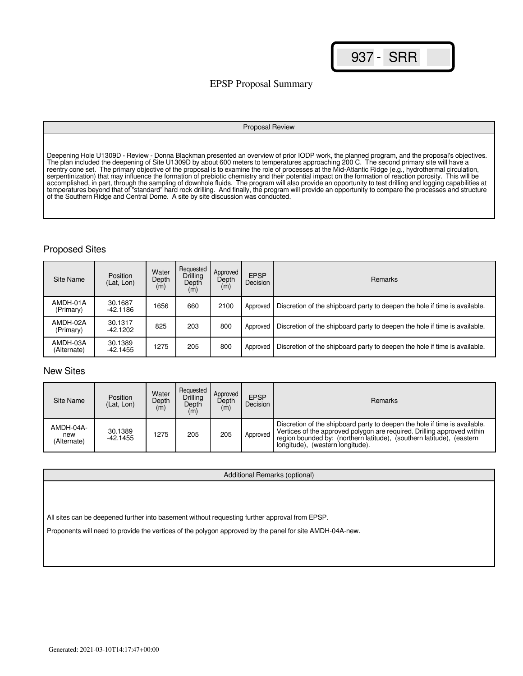## EPSP Proposal Summary

#### Proposal Review

Deepening Hole U1309D - Review - Donna Blackman presented an overview of prior IODP work, the planned program, and the proposal's objectives. The plan included the deepening of Site U1309D by about 600 meters to temperatures approaching 200 C. The second primary site will have a reentry cone set. The primary objective of the proposal is to examine the role of processes at the Mid-Atlantic Ridge (e.g., hydrothermal circulation, serpentinization) that may influence the formation of prebiotic chemistry and their potential impact on the formation of reaction porosity. This will be accomplished, in part, through the sampling of downhole fluids. The program will also provide an opportunity to test drilling and logging capabilities at temperatures beyond that of "standard" hard rock drilling. And finally, the program will provide an opportunity to compare the processes and structure of the Southern Ridge and Central Dome. A site by site discussion was conducted.

#### Proposed Sites

| Site Name               | Position<br>(Lat, Lon) | Water<br>Depth<br>(m) | Requested<br>Drilling<br>Depth<br>(m) | Approved<br>Depth<br>(m) | <b>EPSP</b><br>Decision | <b>Remarks</b>                                                             |
|-------------------------|------------------------|-----------------------|---------------------------------------|--------------------------|-------------------------|----------------------------------------------------------------------------|
| AMDH-01A<br>(Primary)   | 30.1687<br>-42.1186    | 1656                  | 660                                   | 2100                     | Approved                | Discretion of the shipboard party to deepen the hole if time is available. |
| AMDH-02A<br>(Primary)   | 30.1317<br>-42.1202    | 825                   | 203                                   | 800                      | Approved                | Discretion of the shipboard party to deepen the hole if time is available. |
| AMDH-03A<br>(Alternate) | 30.1389<br>-42.1455    | 1275                  | 205                                   | 800                      | Approved                | Discretion of the shipboard party to deepen the hole if time is available. |

## New Sites

| Site Name                       | <b>Position</b><br>(Lat. Lon) | Water<br>Depth<br>(m) | Requested<br>Drilling<br>Depth<br>(m) | Approved<br>Depth<br>(m) | <b>EPSP</b><br>Decision | <b>Remarks</b>                                                                                                                                                                                                                                                     |
|---------------------------------|-------------------------------|-----------------------|---------------------------------------|--------------------------|-------------------------|--------------------------------------------------------------------------------------------------------------------------------------------------------------------------------------------------------------------------------------------------------------------|
| AMDH-04A-<br>new<br>(Alternate) | 30.1389<br>$-42.1455$         | 1275                  | 205                                   | 205                      | Approved                | Discretion of the shipboard party to deepen the hole if time is available.<br>Vertices of the approved polygon are required. Drilling approved within<br>region bounded by: (northern latitude), (southern latitude), (eastern<br>longitude), (western longitude). |

Additional Remarks (optional)

All sites can be deepened further into basement without requesting further approval from EPSP.

Proponents will need to provide the vertices of the polygon approved by the panel for site AMDH-04A-new.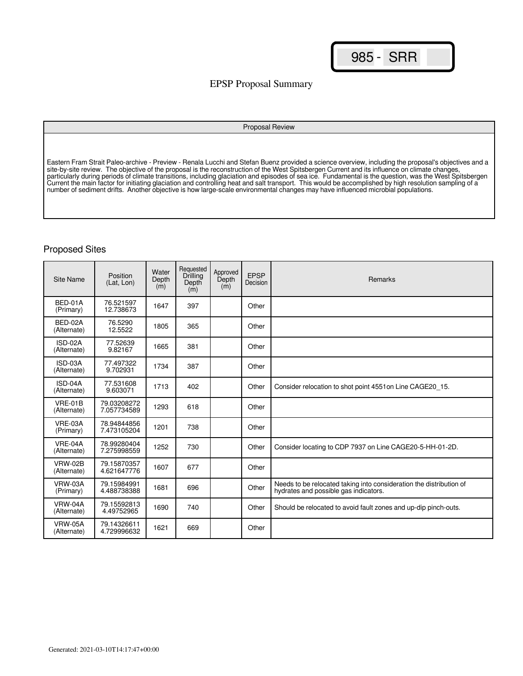## EPSP Proposal Summary

#### Proposal Review

Eastern Fram Strait Paleo-archive - Preview - Renala Lucchi and Stefan Buenz provided a science overview, including the proposal's objectives and a site-by-site review. The objective of the proposal is the reconstruction of the West Spitsbergen Current and its influence on climate changes, particularly during periods of climate transitions, including glaciation and episodes of sea ice. Fundamental is the question, was the West Spitsbergen Current the main factor for initiating glaciation and controlling heat and salt transport. This would be accomplished by high resolution sampling of a number of sediment drifts. Another objective is how large-scale environmental changes may have influenced microbial populations.

#### Proposed Sites

| <b>Site Name</b>              | Position<br>(Lat. Lon)     | Water<br>Depth<br>(m) | Requested<br>Drilling<br>Depth<br>(m) | Approved<br>Depth<br>(m) | <b>EPSP</b><br>Decision | <b>Remarks</b>                                                                                               |
|-------------------------------|----------------------------|-----------------------|---------------------------------------|--------------------------|-------------------------|--------------------------------------------------------------------------------------------------------------|
| BED-01A<br>(Primary)          | 76.521597<br>12.738673     | 1647                  | 397                                   |                          | Other                   |                                                                                                              |
| BED-02A<br>(Alternate)        | 76.5290<br>12.5522         | 1805                  | 365                                   |                          | Other                   |                                                                                                              |
| ISD-02A<br>(Alternate)        | 77.52639<br>9.82167        | 1665                  | 381                                   |                          | Other                   |                                                                                                              |
| ISD-03A<br>(Alternate)        | 77.497322<br>9.702931      | 1734                  | 387                                   |                          | Other                   |                                                                                                              |
| ISD-04A<br>(Alternate)        | 77.531608<br>9.603071      | 1713                  | 402                                   |                          | Other                   | Consider relocation to shot point 4551 on Line CAGE20 15.                                                    |
| $VRE-01B$<br>(Alternate)      | 79.03208272<br>7.057734589 | 1293                  | 618                                   |                          | Other                   |                                                                                                              |
| VRE-03A<br>(Primary)          | 78.94844856<br>7.473105204 | 1201                  | 738                                   |                          | Other                   |                                                                                                              |
| VRE-04A<br>(Alternate)        | 78.99280404<br>7.275998559 | 1252                  | 730                                   |                          | Other                   | Consider locating to CDP 7937 on Line CAGE20-5-HH-01-2D.                                                     |
| <b>VRW-02B</b><br>(Alternate) | 79.15870357<br>4.621647776 | 1607                  | 677                                   |                          | Other                   |                                                                                                              |
| <b>VRW-03A</b><br>(Primary)   | 79.15984991<br>4.488738388 | 1681                  | 696                                   |                          | Other                   | Needs to be relocated taking into consideration the distribution of<br>hydrates and possible gas indicators. |
| VRW-04A<br>(Alternate)        | 79.15592813<br>4.49752965  | 1690                  | 740                                   |                          | Other                   | Should be relocated to avoid fault zones and up-dip pinch-outs.                                              |
| <b>VRW-05A</b><br>(Alternate) | 79.14326611<br>4.729996632 | 1621                  | 669                                   |                          | Other                   |                                                                                                              |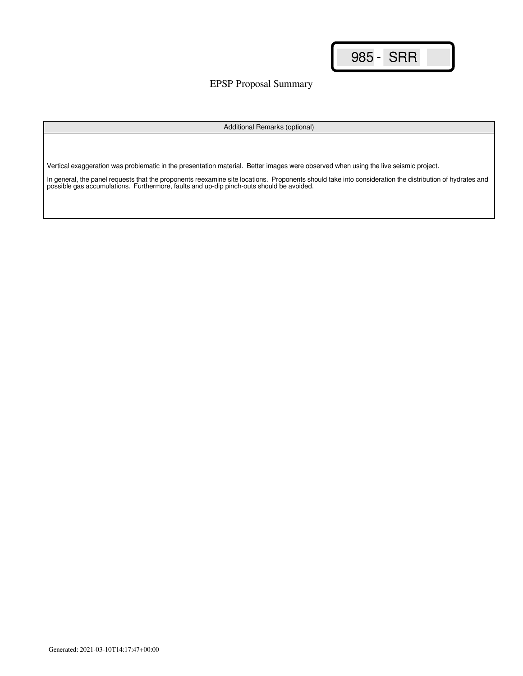EPSP Proposal Summary

Additional Remarks (optional)

Vertical exaggeration was problematic in the presentation material. Better images were observed when using the live seismic project.

In general, the panel requests that the proponents reexamine site locations. Proponents should take into consideration the distribution of hydrates and possible gas accumulations. Furthermore, faults and up-dip pinch-outs should be avoided.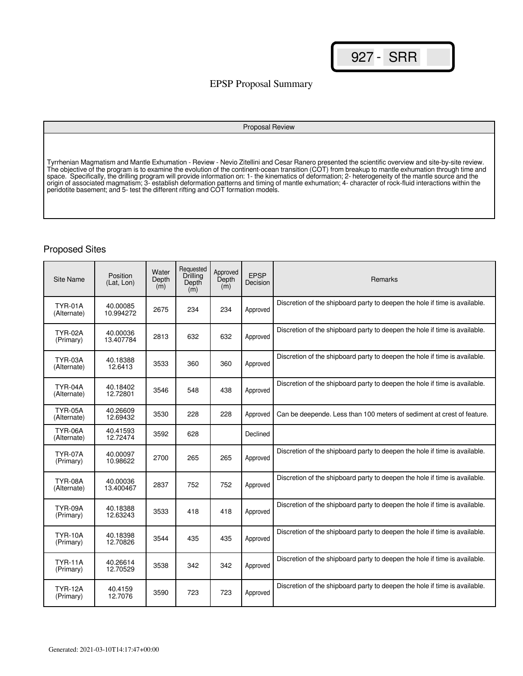### EPSP Proposal Summary

#### Proposal Review

Tyrrhenian Magmatism and Mantle Exhumation - Review - Nevio Zitellini and Cesar Ranero presented the scientific overview and site-by-site review. The objective of the program is to examine the evolution of the continent-ocean transition (COT) from breakup to mantle exhumation through time and space. Specifically, the drilling program will provide information on: 1- the kinematics of deformation; 2- heterogeneity of the mantle source and the origin of associated magmatism; 3- establish deformation patterns and timing of mantle exhumation; 4- character of rock-fluid interactions within the peridotite basement; and 5- test the different rifting and COT formation models.

#### Proposed Sites

| Site Name                     | Position<br>(Lat, Lon) | Water<br>Depth<br>(m) | Requested<br>Drilling<br>Depth<br>(m) | Approved<br>Depth<br>(m) | <b>EPSP</b><br>Decision | Remarks                                                                    |
|-------------------------------|------------------------|-----------------------|---------------------------------------|--------------------------|-------------------------|----------------------------------------------------------------------------|
| <b>TYR-01A</b><br>(Alternate) | 40.00085<br>10.994272  | 2675                  | 234                                   | 234                      | Approved                | Discretion of the shipboard party to deepen the hole if time is available. |
| <b>TYR-02A</b><br>(Primary)   | 40.00036<br>13.407784  | 2813                  | 632                                   | 632                      | Approved                | Discretion of the shipboard party to deepen the hole if time is available. |
| TYR-03A<br>(Alternate)        | 40.18388<br>12.6413    | 3533                  | 360                                   | 360                      | Approved                | Discretion of the shipboard party to deepen the hole if time is available. |
| TYR-04A<br>(Alternate)        | 40.18402<br>12.72801   | 3546                  | 548                                   | 438                      | Approved                | Discretion of the shipboard party to deepen the hole if time is available. |
| <b>TYR-05A</b><br>(Alternate) | 40.26609<br>12.69432   | 3530                  | 228                                   | 228                      | Approved                | Can be deepende. Less than 100 meters of sediment at crest of feature.     |
| TYR-06A<br>(Alternate)        | 40.41593<br>12.72474   | 3592                  | 628                                   |                          | Declined                |                                                                            |
| TYR-07A<br>(Primary)          | 40.00097<br>10.98622   | 2700                  | 265                                   | 265                      | Approved                | Discretion of the shipboard party to deepen the hole if time is available. |
| TYR-08A<br>(Alternate)        | 40.00036<br>13.400467  | 2837                  | 752                                   | 752                      | Approved                | Discretion of the shipboard party to deepen the hole if time is available. |
| TYR-09A<br>(Primary)          | 40.18388<br>12.63243   | 3533                  | 418                                   | 418                      | Approved                | Discretion of the shipboard party to deepen the hole if time is available. |
| <b>TYR-10A</b><br>(Primary)   | 40.18398<br>12.70826   | 3544                  | 435                                   | 435                      | Approved                | Discretion of the shipboard party to deepen the hole if time is available. |
| <b>TYR-11A</b><br>(Primary)   | 40.26614<br>12.70529   | 3538                  | 342                                   | 342                      | Approved                | Discretion of the shipboard party to deepen the hole if time is available. |
| <b>TYR-12A</b><br>(Primary)   | 40.4159<br>12.7076     | 3590                  | 723                                   | 723                      | Approved                | Discretion of the shipboard party to deepen the hole if time is available. |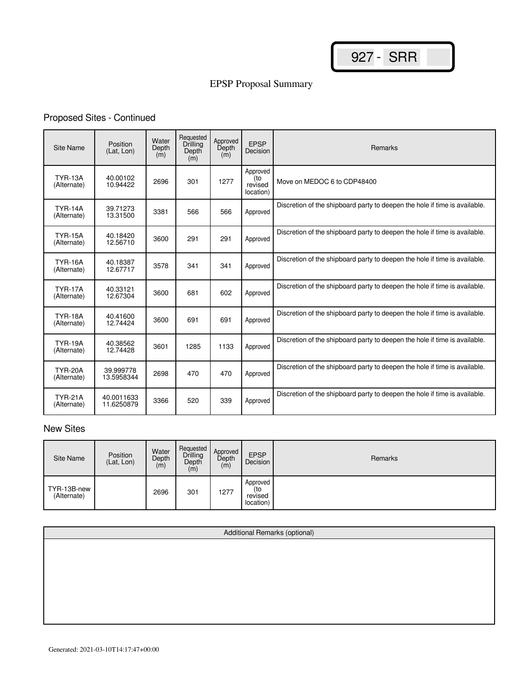# EPSP Proposal Summary

# Proposed Sites - Continued

| <b>Site Name</b>              | Position<br>(Lat. Lon)   | Water<br>Depth<br>(m) | Requested<br>Drilling<br>Depth<br>(m) | Approved<br>Depth<br>(m) | <b>EPSP</b><br>Decision                 | Remarks                                                                    |
|-------------------------------|--------------------------|-----------------------|---------------------------------------|--------------------------|-----------------------------------------|----------------------------------------------------------------------------|
| <b>TYR-13A</b><br>(Alternate) | 40.00102<br>10.94422     | 2696                  | 301                                   | 1277                     | Approved<br>(to<br>revised<br>location) | Move on MEDOC 6 to CDP48400                                                |
| <b>TYR-14A</b><br>(Alternate) | 39.71273<br>13.31500     | 3381                  | 566                                   | 566                      | Approved                                | Discretion of the shipboard party to deepen the hole if time is available. |
| <b>TYR-15A</b><br>(Alternate) | 40.18420<br>12.56710     | 3600                  | 291                                   | 291                      | Approved                                | Discretion of the shipboard party to deepen the hole if time is available. |
| <b>TYR-16A</b><br>(Alternate) | 40.18387<br>12.67717     | 3578                  | 341                                   | 341                      | Approved                                | Discretion of the shipboard party to deepen the hole if time is available. |
| <b>TYR-17A</b><br>(Alternate) | 40.33121<br>12.67304     | 3600                  | 681                                   | 602                      | Approved                                | Discretion of the shipboard party to deepen the hole if time is available. |
| <b>TYR-18A</b><br>(Alternate) | 40.41600<br>12.74424     | 3600                  | 691                                   | 691                      | Approved                                | Discretion of the shipboard party to deepen the hole if time is available. |
| <b>TYR-19A</b><br>(Alternate) | 40.38562<br>12.74428     | 3601                  | 1285                                  | 1133                     | Approved                                | Discretion of the shipboard party to deepen the hole if time is available. |
| <b>TYR-20A</b><br>(Alternate) | 39.999778<br>13.5958344  | 2698                  | 470                                   | 470                      | Approved                                | Discretion of the shipboard party to deepen the hole if time is available. |
| <b>TYR-21A</b><br>(Alternate) | 40.0011633<br>11.6250879 | 3366                  | 520                                   | 339                      | Approved                                | Discretion of the shipboard party to deepen the hole if time is available. |

# New Sites

| Site Name                  | Position<br>(Lat, Lon) | Water<br>Depth<br>(m) | Requested<br>Drilling<br>Depth<br>(m) | Approved<br>Depth<br>(m) | <b>EPSP</b><br>Decision                 | Remarks |
|----------------------------|------------------------|-----------------------|---------------------------------------|--------------------------|-----------------------------------------|---------|
| TYR-13B-new<br>(Alternate) |                        | 2696                  | 301                                   | 1277                     | Approved<br>(to<br>revised<br>location) |         |

| Additional Remarks (optional) |  |  |  |  |  |  |  |  |
|-------------------------------|--|--|--|--|--|--|--|--|
|                               |  |  |  |  |  |  |  |  |
|                               |  |  |  |  |  |  |  |  |
|                               |  |  |  |  |  |  |  |  |
|                               |  |  |  |  |  |  |  |  |
|                               |  |  |  |  |  |  |  |  |
|                               |  |  |  |  |  |  |  |  |
|                               |  |  |  |  |  |  |  |  |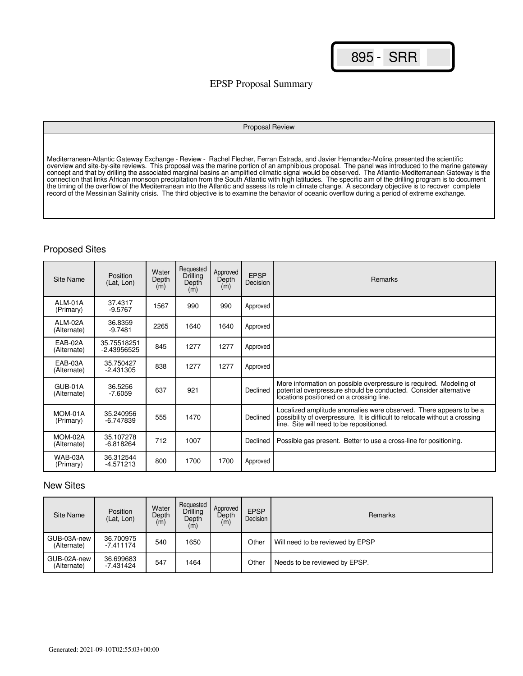## EPSP Proposal Summary

#### Proposal Review

Mediterranean-Atlantic Gateway Exchange - Review - Rachel Flecher, Ferran Estrada, and Javier Hernandez-Molina presented the scientific overview and site-by-site reviews. This proposal was the marine portion of an amphibious proposal. The panel was introduced to the marine gateway concept and that by drilling the associated marginal basins an amplified climatic signal would be observed. The Atlantic-Mediterranean Gateway is the connection that links African monsoon precipitation from the South Atlantic with high latitudes. The specific aim of the drilling program is to document the timing of the overflow of the Mediterranean into the Atlantic and assess its role in climate change. A secondary objective is to recover complete record of the Messinian Salinity crisis. The third objective is to examine the behavior of oceanic overflow during a period of extreme exchange.

### Proposed Sites

| Site Name              | Position<br>(Lat, Lon)     | Water<br>Depth<br>(m) | Requested<br>Drilling<br>Depth<br>(m) | Approved<br>Depth<br>(m) | <b>EPSP</b><br>Decision | <b>Remarks</b>                                                                                                                                                                                |
|------------------------|----------------------------|-----------------------|---------------------------------------|--------------------------|-------------------------|-----------------------------------------------------------------------------------------------------------------------------------------------------------------------------------------------|
| ALM-01A<br>(Primary)   | 37.4317<br>$-9.5767$       | 1567                  | 990                                   | 990                      | Approved                |                                                                                                                                                                                               |
| ALM-02A<br>(Alternate) | 36.8359<br>$-9.7481$       | 2265                  | 1640                                  | 1640                     | Approved                |                                                                                                                                                                                               |
| EAB-02A<br>(Alternate) | 35.75518251<br>-2.43956525 | 845                   | 1277                                  | 1277                     | Approved                |                                                                                                                                                                                               |
| EAB-03A<br>(Alternate) | 35.750427<br>$-2.431305$   | 838                   | 1277                                  | 1277                     | Approved                |                                                                                                                                                                                               |
| GUB-01A<br>(Alternate) | 36.5256<br>$-7.6059$       | 637                   | 921                                   |                          | Declined                | More information on possible overpressure is required. Modeling of<br>potential overpressure should be conducted. Consider alternative<br>locations positioned on a crossing line.            |
| MOM-01A<br>(Primary)   | 35.240956<br>-6.747839     | 555                   | 1470                                  |                          | Declined                | Localized amplitude anomalies were observed. There appears to be a<br>possibility of overpressure. It is difficult to relocate without a crossing<br>line. Site will need to be repositioned. |
| MOM-02A<br>(Alternate) | 35.107278<br>$-6.818264$   | 712                   | 1007                                  |                          | Declined                | Possible gas present. Better to use a cross-line for positioning.                                                                                                                             |
| WAB-03A<br>(Primary)   | 36.312544<br>-4.571213     | 800                   | 1700                                  | 1700                     | Approved                |                                                                                                                                                                                               |

## New Sites

| Site Name                  | Position<br>(Lat. Lon)   | Water<br>Depth<br>(m) | Requested<br>Drilling<br>Depth<br>(m) | Approved<br>Depth<br>(m) | <b>EPSP</b><br>Decision | Remarks                          |
|----------------------------|--------------------------|-----------------------|---------------------------------------|--------------------------|-------------------------|----------------------------------|
| GUB-03A-new<br>(Alternate) | 36.700975<br>$-7.411174$ | 540                   | 1650                                  |                          | Other                   | Will need to be reviewed by EPSP |
| GUB-02A-new<br>(Alternate) | 36.699683<br>-7.431424   | 547                   | 1464                                  |                          | Other                   | Needs to be reviewed by EPSP.    |